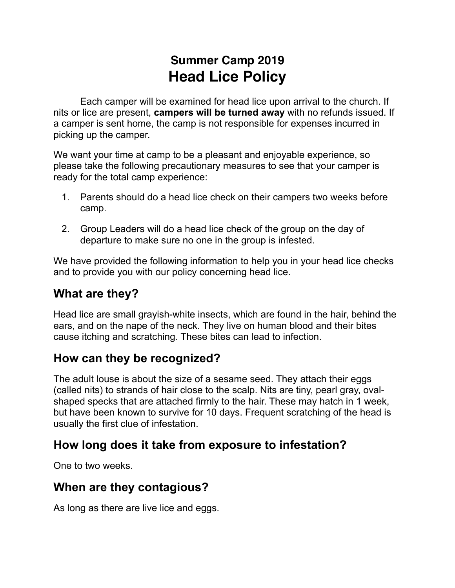# **Summer Camp 2019 Head Lice Policy**

 Each camper will be examined for head lice upon arrival to the church. If nits or lice are present, **campers will be turned away** with no refunds issued. If a camper is sent home, the camp is not responsible for expenses incurred in picking up the camper.

We want your time at camp to be a pleasant and enjoyable experience, so please take the following precautionary measures to see that your camper is ready for the total camp experience:

- 1. Parents should do a head lice check on their campers two weeks before camp.
- 2. Group Leaders will do a head lice check of the group on the day of departure to make sure no one in the group is infested.

We have provided the following information to help you in your head lice checks and to provide you with our policy concerning head lice.

## **What are they?**

Head lice are small grayish-white insects, which are found in the hair, behind the ears, and on the nape of the neck. They live on human blood and their bites cause itching and scratching. These bites can lead to infection.

#### **How can they be recognized?**

The adult louse is about the size of a sesame seed. They attach their eggs (called nits) to strands of hair close to the scalp. Nits are tiny, pearl gray, ovalshaped specks that are attached firmly to the hair. These may hatch in 1 week, but have been known to survive for 10 days. Frequent scratching of the head is usually the first clue of infestation.

## **How long does it take from exposure to infestation?**

One to two weeks.

#### **When are they contagious?**

As long as there are live lice and eggs.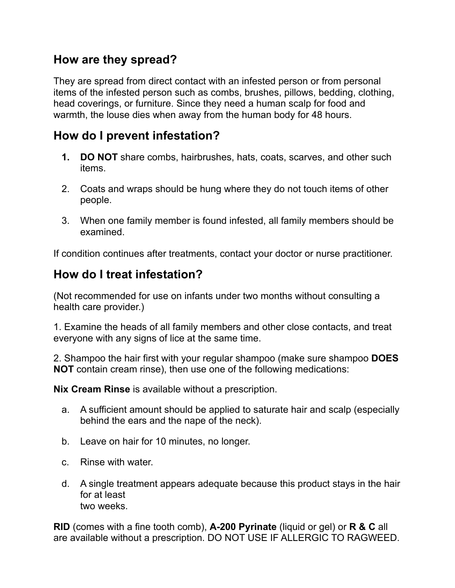#### **How are they spread?**

They are spread from direct contact with an infested person or from personal items of the infested person such as combs, brushes, pillows, bedding, clothing, head coverings, or furniture. Since they need a human scalp for food and warmth, the louse dies when away from the human body for 48 hours.

# **How do I prevent infestation?**

- **1. DO NOT** share combs, hairbrushes, hats, coats, scarves, and other such items.
- 2. Coats and wraps should be hung where they do not touch items of other people.
- 3. When one family member is found infested, all family members should be examined.

If condition continues after treatments, contact your doctor or nurse practitioner.

# **How do I treat infestation?**

(Not recommended for use on infants under two months without consulting a health care provider.)

1. Examine the heads of all family members and other close contacts, and treat everyone with any signs of lice at the same time.

2. Shampoo the hair first with your regular shampoo (make sure shampoo **DOES NOT** contain cream rinse), then use one of the following medications:

**Nix Cream Rinse** is available without a prescription.

- a. A sufficient amount should be applied to saturate hair and scalp (especially behind the ears and the nape of the neck).
- b. Leave on hair for 10 minutes, no longer.
- c. Rinse with water.
- d. A single treatment appears adequate because this product stays in the hair for at least two weeks.

**RID** (comes with a fine tooth comb), **A-200 Pyrinate** (liquid or gel) or **R & C** all are available without a prescription. DO NOT USE IF ALLERGIC TO RAGWEED.